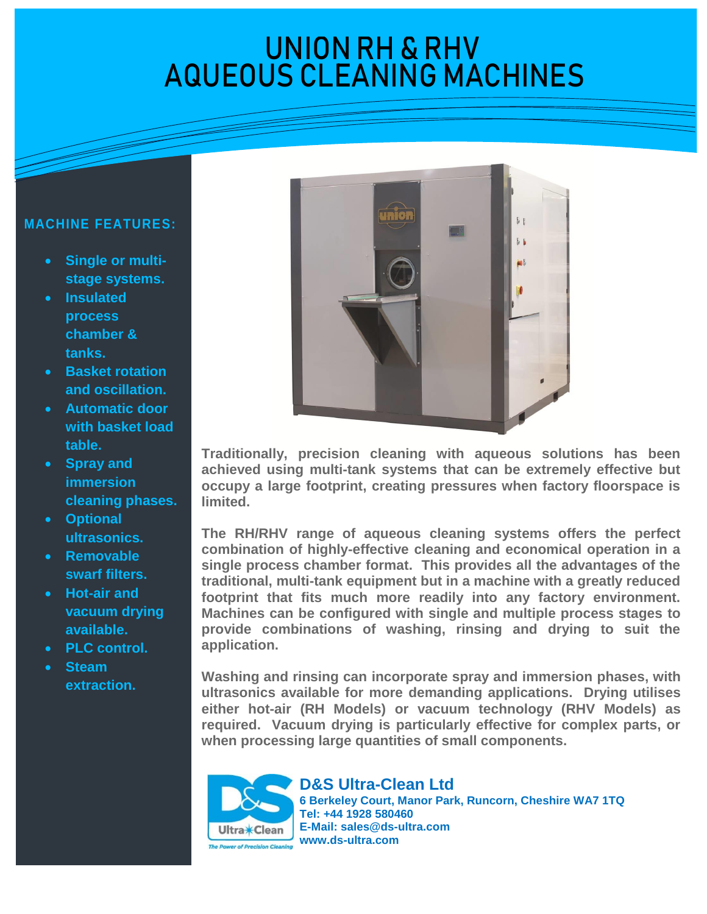## UNIUN KH & KHV UNION RH & RHV AQUEOUS CLEANING MACHINES

## **MACHINE FEATURES:**

- **Single or multistage systems.**
- **Insulated process chamber & tanks.**
- **Basket rotation and oscillation.**
- **Automatic door with basket load table.**
- **Spray and immersion cleaning phases.**
- **Optional ultrasonics.**
- **Removable swarf filters.**
- **Hot-air and vacuum drying available.**
- **PLC control.**
- **Steam extraction.**



**Traditionally, precision cleaning with aqueous solutions has been achieved using multi-tank systems that can be extremely effective but occupy a large footprint, creating pressures when factory floorspace is limited.** 

**The RH/RHV range of aqueous cleaning systems offers the perfect combination of highly-effective cleaning and economical operation in a single process chamber format. This provides all the advantages of the traditional, multi-tank equipment but in a machine with a greatly reduced footprint that fits much more readily into any factory environment. Machines can be configured with single and multiple process stages to provide combinations of washing, rinsing and drying to suit the application.** 

**Washing and rinsing can incorporate spray and immersion phases, with ultrasonics available for more demanding applications. Drying utilises either hot-air (RH Models) or vacuum technology (RHV Models) as required. Vacuum drying is particularly effective for complex parts, or when processing large quantities of small components.**

Ultra**\*Clean** 

**D&S Ultra-Clean Ltd 6 Berkeley Court, Manor Park, Runcorn, Cheshire WA7 1TQ Tel: +44 1928 580460 E-Mail: [sales@ds-ultra.com](mailto:sales@ds-ultra.com) www.ds-ultra.com**